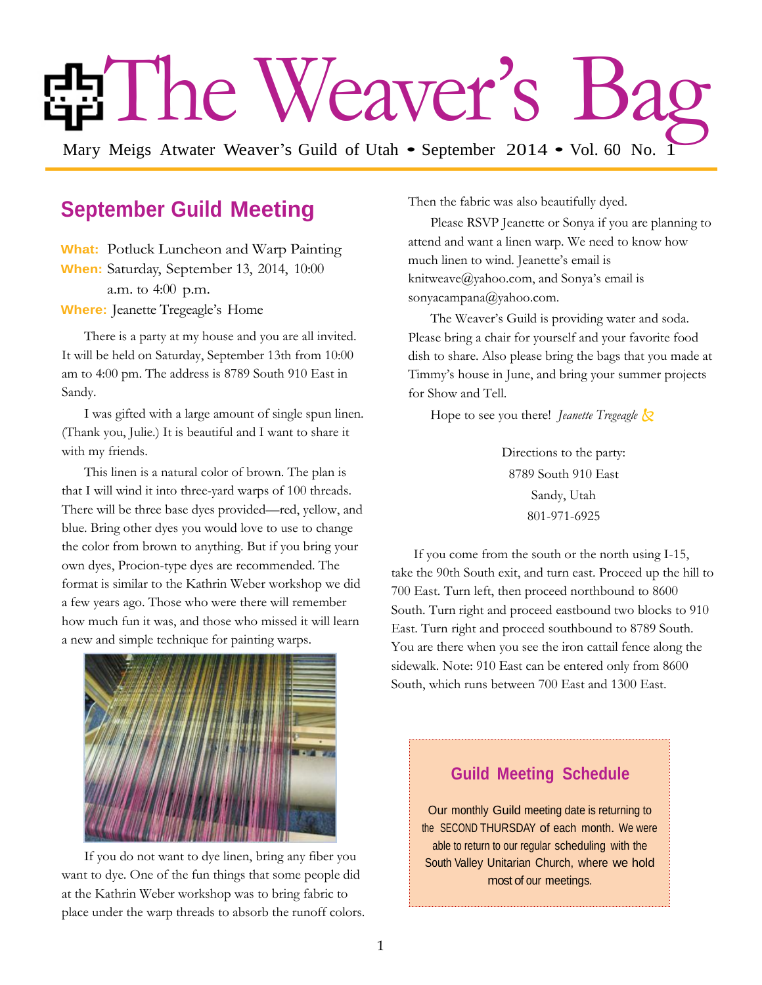# The Weaver's Ba

Mary Meigs Atwater Weaver's Guild of Utah • September 2014 • Vol. 60 No. 1

## **September Guild Meeting**

**What:** Potluck Luncheon and Warp Painting **When:** Saturday, September 13, 2014, 10:00 a.m. to 4:00 p.m. **Where:** Jeanette Tregeagle's Home

There is a party at my house and you are all invited. It will be held on Saturday, September 13th from 10:00 am to 4:00 pm. The address is 8789 South 910 East in Sandy.

I was gifted with a large amount of single spun linen. (Thank you, Julie.) It is beautiful and I want to share it with my friends.

This linen is a natural color of brown. The plan is that I will wind it into three-yard warps of 100 threads. There will be three base dyes provided—red, yellow, and blue. Bring other dyes you would love to use to change the color from brown to anything. But if you bring your own dyes, Procion-type dyes are recommended. The format is similar to the Kathrin Weber workshop we did a few years ago. Those who were there will remember how much fun it was, and those who missed it will learn a new and simple technique for painting warps.



If you do not want to dye linen, bring any fiber you want to dye. One of the fun things that some people did at the Kathrin Weber workshop was to bring fabric to place under the warp threads to absorb the runoff colors. Then the fabric was also beautifully dyed.

Please RSVP Jeanette or Sonya if you are planning to attend and want a linen warp. We need to know how much linen to wind. Jeanette's email is knitweave@yahoo.com, and Sonya's email is sonyacampana@yahoo.com.

The Weaver's Guild is providing water and soda. Please bring a chair for yourself and your favorite food dish to share. Also please bring the bags that you made at Timmy's house in June, and bring your summer projects for Show and Tell.

Hope to see you there! *Jeanette Tregeagle*

Directions to the party: 8789 South 910 East Sandy, Utah 801-971-6925

If you come from the south or the north using I-15, take the 90th South exit, and turn east. Proceed up the hill to 700 East. Turn left, then proceed northbound to 8600 South. Turn right and proceed eastbound two blocks to 910 East. Turn right and proceed southbound to 8789 South. You are there when you see the iron cattail fence along the sidewalk. Note: 910 East can be entered only from 8600 South, which runs between 700 East and 1300 East.

#### **Guild Meeting Schedule**

Our monthly Guild meeting date is returning to the SECOND THURSDAY of each month. We were able to return to our regular scheduling with the South Valley Unitarian Church, where we hold most of our meetings.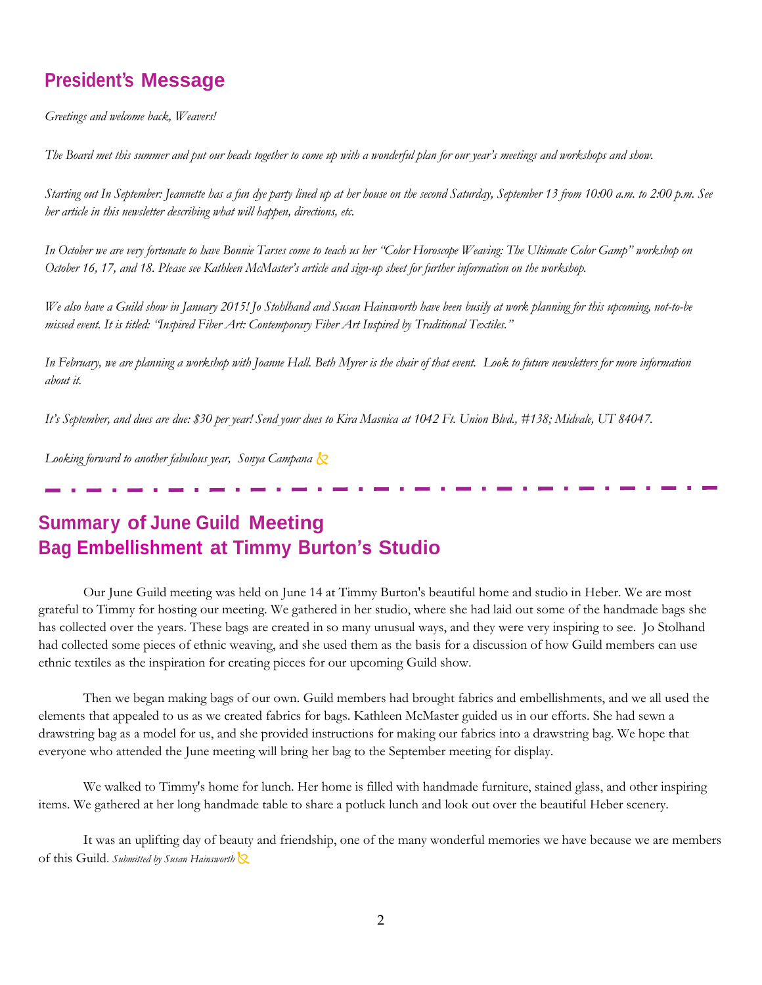## **President's Message**

*Greetings and welcome back, Weavers!* 

*The Board met this summer and put our heads together to come up with a wonderful plan for our year's meetings and workshops and show.* 

*Starting out In September: Jeannette has a fun dye party lined up at her house on the second Saturday, September 13 from 10:00 a.m. to 2:00 p.m. See her article in this newsletter describing what will happen, directions, etc.*

*In October we are very fortunate to have Bonnie Tarses come to teach us her "Color Horoscope Weaving: The Ultimate Color Gamp" workshop on October 16, 17, and 18. Please see Kathleen McMaster's article and sign-up sheet for further information on the workshop.*

*We also have a Guild show in January 2015! Jo Stohlhand and Susan Hainsworth have been busily at work planning for this upcoming, not-to-be missed event. It is titled: "Inspired Fiber Art: Contemporary Fiber Art Inspired by Traditional Textiles."*

*In February, we are planning a workshop with Joanne Hall. Beth Myrer is the chair of that event. Look to future newsletters for more information about it.*

*It's September, and dues are due: \$30 per year! Send your dues to Kira Masnica at 1042 Ft. Union Blvd., #138; Midvale, UT 84047.*

*Looking forward to another fabulous year, Sonya Campana*

## **Summary of June Guild Meeting Bag Embellishment at Timmy Burton's Studio**

Our June Guild meeting was held on June 14 at Timmy Burton's beautiful home and studio in Heber. We are most grateful to Timmy for hosting our meeting. We gathered in her studio, where she had laid out some of the handmade bags she has collected over the years. These bags are created in so many unusual ways, and they were very inspiring to see. Jo Stolhand had collected some pieces of ethnic weaving, and she used them as the basis for a discussion of how Guild members can use ethnic textiles as the inspiration for creating pieces for our upcoming Guild show.

Then we began making bags of our own. Guild members had brought fabrics and embellishments, and we all used the elements that appealed to us as we created fabrics for bags. Kathleen McMaster guided us in our efforts. She had sewn a drawstring bag as a model for us, and she provided instructions for making our fabrics into a drawstring bag. We hope that everyone who attended the June meeting will bring her bag to the September meeting for display.

We walked to Timmy's home for lunch. Her home is filled with handmade furniture, stained glass, and other inspiring items. We gathered at her long handmade table to share a potluck lunch and look out over the beautiful Heber scenery.

It was an uplifting day of beauty and friendship, one of the many wonderful memories we have because we are members of this Guild. *Submitted by Susan Hainsworth*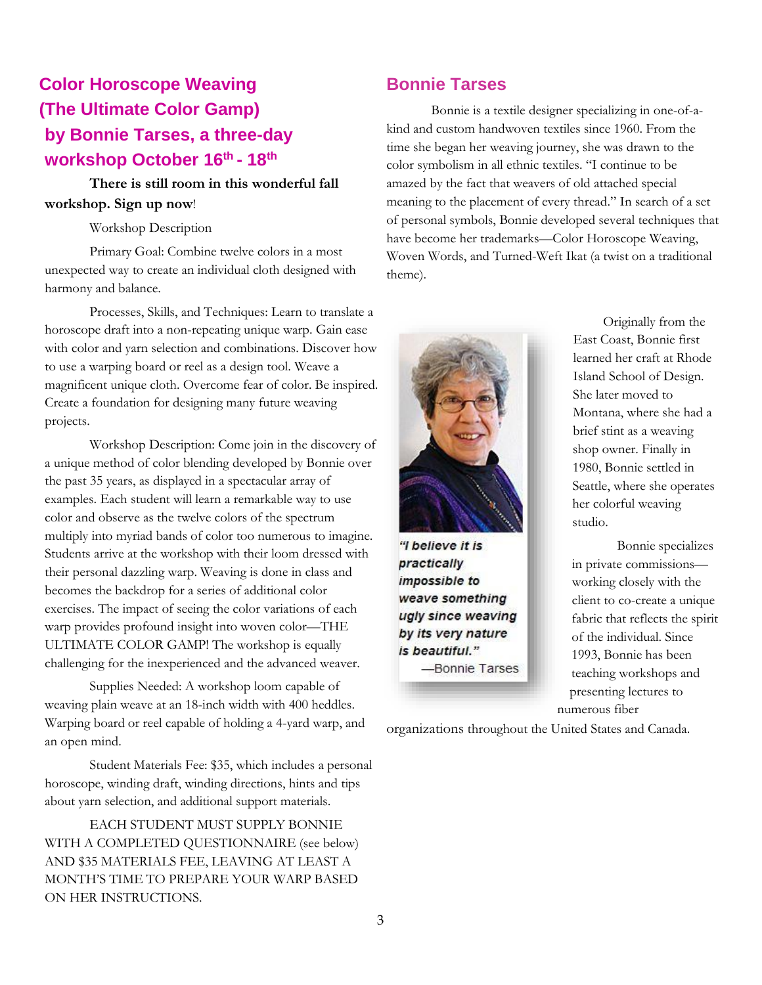## **Color Horoscope Weaving (The Ultimate Color Gamp) by Bonnie Tarses, a three-day workshop October 16 th - 18 th**

#### **There is still room in this wonderful fall workshop. Sign up now**!

#### Workshop Description

Primary Goal: Combine twelve colors in a most unexpected way to create an individual cloth designed with harmony and balance.

Processes, Skills, and Techniques: Learn to translate a horoscope draft into a non-repeating unique warp. Gain ease with color and yarn selection and combinations. Discover how to use a warping board or reel as a design tool. Weave a magnificent unique cloth. Overcome fear of color. Be inspired. Create a foundation for designing many future weaving projects.

Workshop Description: Come join in the discovery of a unique method of color blending developed by Bonnie over the past 35 years, as displayed in a spectacular array of examples. Each student will learn a remarkable way to use color and observe as the twelve colors of the spectrum multiply into myriad bands of color too numerous to imagine. Students arrive at the workshop with their loom dressed with their personal dazzling warp. Weaving is done in class and becomes the backdrop for a series of additional color exercises. The impact of seeing the color variations of each warp provides profound insight into woven color—THE ULTIMATE COLOR GAMP! The workshop is equally challenging for the inexperienced and the advanced weaver.

Supplies Needed: A workshop loom capable of weaving plain weave at an 18-inch width with 400 heddles. Warping board or reel capable of holding a 4-yard warp, and an open mind.

Student Materials Fee: \$35, which includes a personal horoscope, winding draft, winding directions, hints and tips about yarn selection, and additional support materials.

EACH STUDENT MUST SUPPLY BONNIE WITH A COMPLETED QUESTIONNAIRE (see below) AND \$35 MATERIALS FEE, LEAVING AT LEAST A MONTH'S TIME TO PREPARE YOUR WARP BASED ON HER INSTRUCTIONS.

### **Bonnie Tarses**

Bonnie is a textile designer specializing in one-of-akind and custom handwoven textiles since 1960. From the time she began her weaving journey, she was drawn to the color symbolism in all ethnic textiles. "I continue to be amazed by the fact that weavers of old attached special meaning to the placement of every thread." In search of a set of personal symbols, Bonnie developed several techniques that have become her trademarks—Color Horoscope Weaving, Woven Words, and Turned-Weft Ikat (a twist on a traditional theme).



"I believe it is practically impossible to weave something ugly since weaving by its very nature is beautiful." -Bonnie Tarses

Originally from the East Coast, Bonnie first learned her craft at Rhode Island School of Design. She later moved to Montana, where she had a brief stint as a weaving shop owner. Finally in 1980, Bonnie settled in Seattle, where she operates her colorful weaving studio.

Bonnie specializes in private commissions working closely with the client to co-create a unique fabric that reflects the spirit of the individual. Since 1993, Bonnie has been teaching workshops and presenting lectures to numerous fiber

organizations throughout the United States and Canada.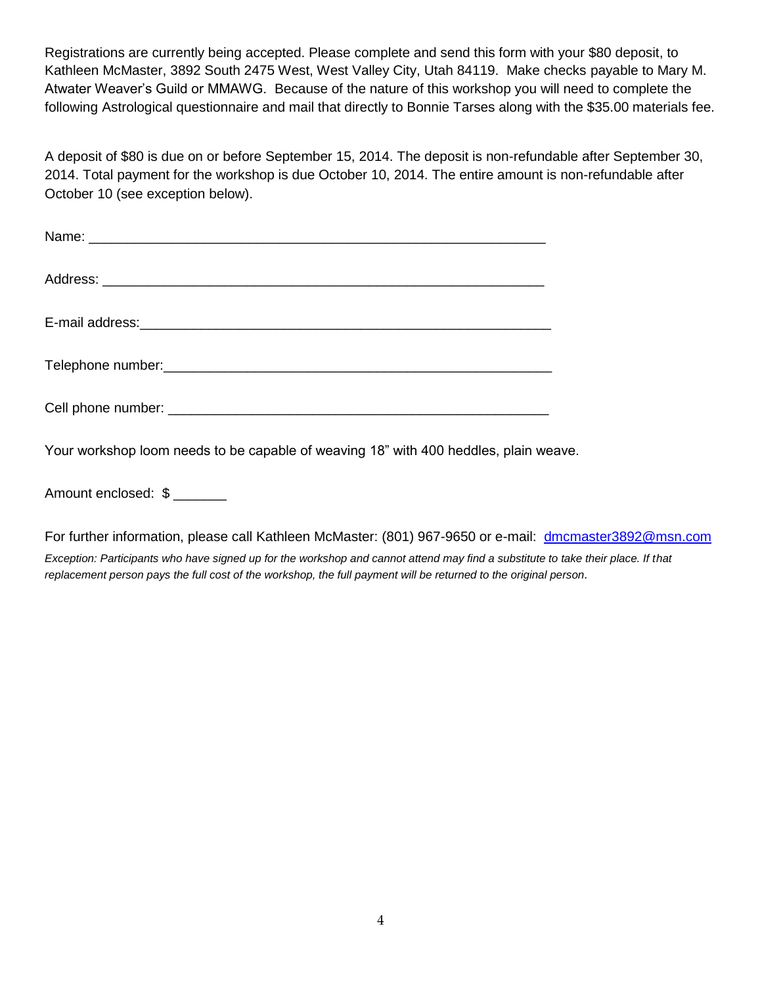Registrations are currently being accepted. Please complete and send this form with your \$80 deposit, to Kathleen McMaster, 3892 South 2475 West, West Valley City, Utah 84119. Make checks payable to Mary M. Atwater Weaver's Guild or MMAWG. Because of the nature of this workshop you will need to complete the following Astrological questionnaire and mail that directly to Bonnie Tarses along with the \$35.00 materials fee.

A deposit of \$80 is due on or before September 15, 2014. The deposit is non-refundable after September 30, 2014. Total payment for the workshop is due October 10, 2014. The entire amount is non-refundable after October 10 (see exception below).

Your workshop loom needs to be capable of weaving 18" with 400 heddles, plain weave.

Amount enclosed: \$

For further information, please call Kathleen McMaster: (801) 967-9650 or e-mail: dmcmaster3892@msn.com

*Exception: Participants who have signed up for the workshop and cannot attend may find a substitute to take their place. If that replacement person pays the full cost of the workshop, the full payment will be returned to the original person.*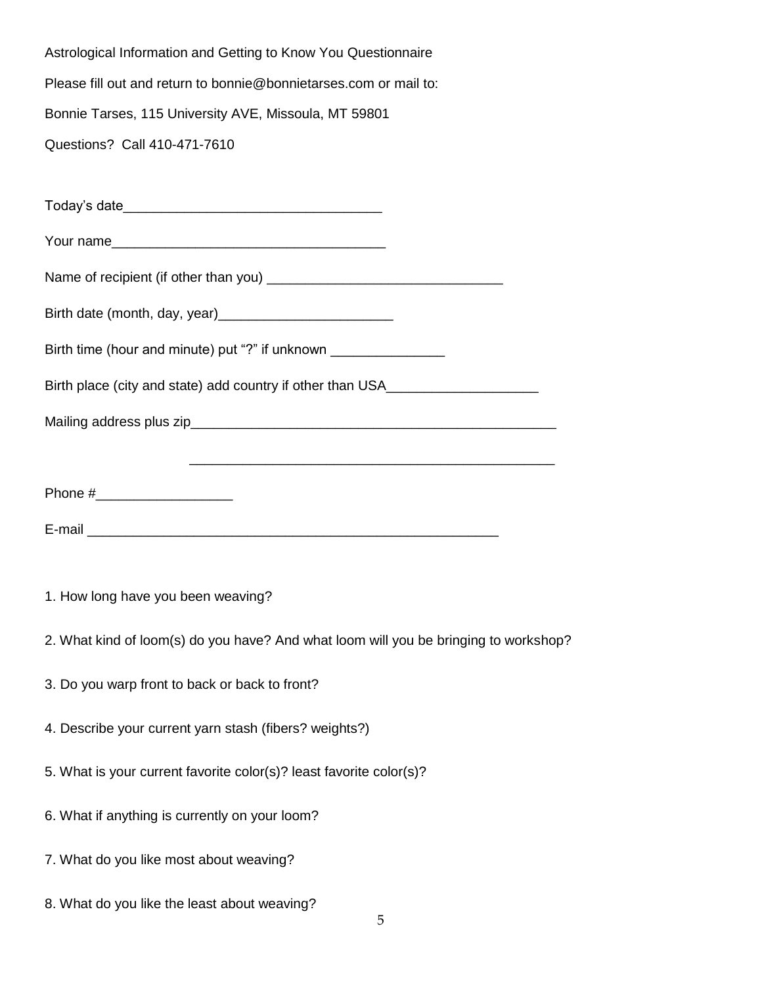Astrological Information and Getting to Know You Questionnaire Please fill out and return to bonnie@bonnietarses.com or mail to: Bonnie Tarses, 115 University AVE, Missoula, MT 59801 Questions? Call 410-471-7610

Today's date Your name Name of recipient (if other than you) \_\_\_\_\_\_\_\_\_\_\_\_\_\_\_\_\_\_\_\_\_\_\_\_\_\_\_\_\_\_\_ Birth date (month, day, year)\_\_\_\_\_\_\_\_\_\_\_\_\_\_\_\_\_\_\_\_\_\_\_ Birth time (hour and minute) put "?" if unknown Birth place (city and state) add country if other than USA Mailing address plus zip\_\_\_\_\_\_\_\_\_\_\_\_\_\_\_\_\_\_\_\_\_\_\_\_\_\_\_\_\_\_\_\_\_\_\_\_\_\_\_\_\_\_\_\_\_\_\_\_  $\overline{\phantom{a}}$  ,  $\overline{\phantom{a}}$  ,  $\overline{\phantom{a}}$  ,  $\overline{\phantom{a}}$  ,  $\overline{\phantom{a}}$  ,  $\overline{\phantom{a}}$  ,  $\overline{\phantom{a}}$  ,  $\overline{\phantom{a}}$  ,  $\overline{\phantom{a}}$  ,  $\overline{\phantom{a}}$  ,  $\overline{\phantom{a}}$  ,  $\overline{\phantom{a}}$  ,  $\overline{\phantom{a}}$  ,  $\overline{\phantom{a}}$  ,  $\overline{\phantom{a}}$  ,  $\overline{\phantom{a}}$ Phone # E-mail \_\_\_\_\_\_\_\_\_\_\_\_\_\_\_\_\_\_\_\_\_\_\_\_\_\_\_\_\_\_\_\_\_\_\_\_\_\_\_\_\_\_\_\_\_\_\_\_\_\_\_\_\_\_

1. How long have you been weaving?

- 2. What kind of loom(s) do you have? And what loom will you be bringing to workshop?
- 3. Do you warp front to back or back to front?
- 4. Describe your current yarn stash (fibers? weights?)
- 5. What is your current favorite color(s)? least favorite color(s)?
- 6. What if anything is currently on your loom?
- 7. What do you like most about weaving?
- 8. What do you like the least about weaving?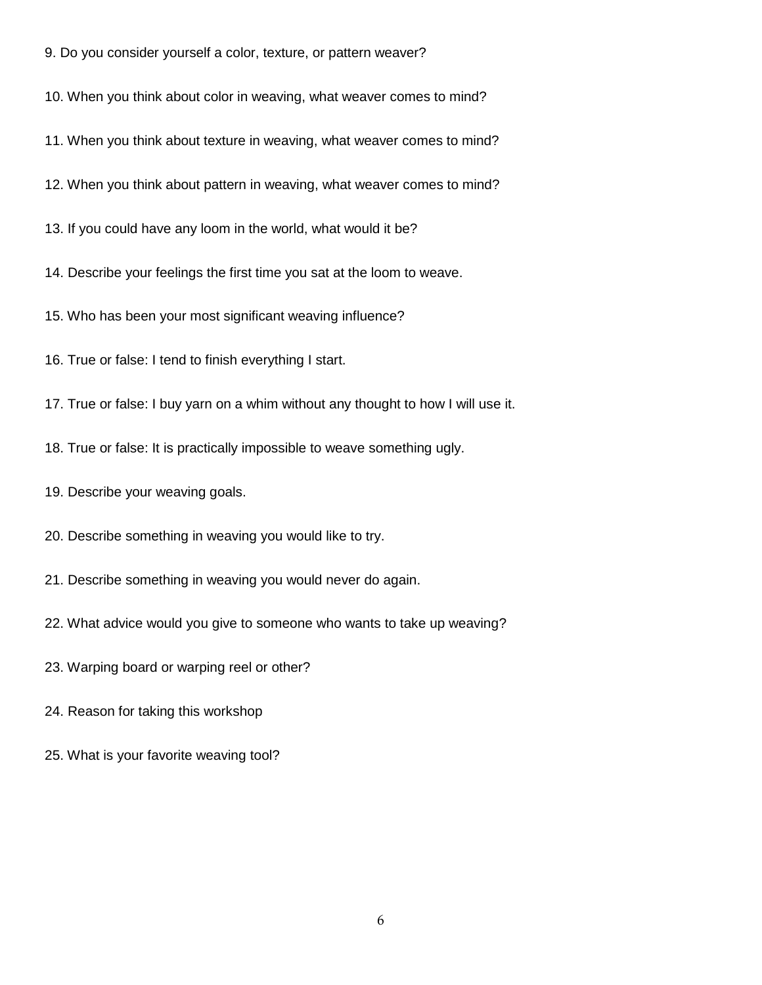9. Do you consider yourself a color, texture, or pattern weaver?

10. When you think about color in weaving, what weaver comes to mind?

- 11. When you think about texture in weaving, what weaver comes to mind?
- 12. When you think about pattern in weaving, what weaver comes to mind?
- 13. If you could have any loom in the world, what would it be?
- 14. Describe your feelings the first time you sat at the loom to weave.
- 15. Who has been your most significant weaving influence?
- 16. True or false: I tend to finish everything I start.
- 17. True or false: I buy yarn on a whim without any thought to how I will use it.
- 18. True or false: It is practically impossible to weave something ugly.
- 19. Describe your weaving goals.
- 20. Describe something in weaving you would like to try.
- 21. Describe something in weaving you would never do again.
- 22. What advice would you give to someone who wants to take up weaving?
- 23. Warping board or warping reel or other?
- 24. Reason for taking this workshop
- 25. What is your favorite weaving tool?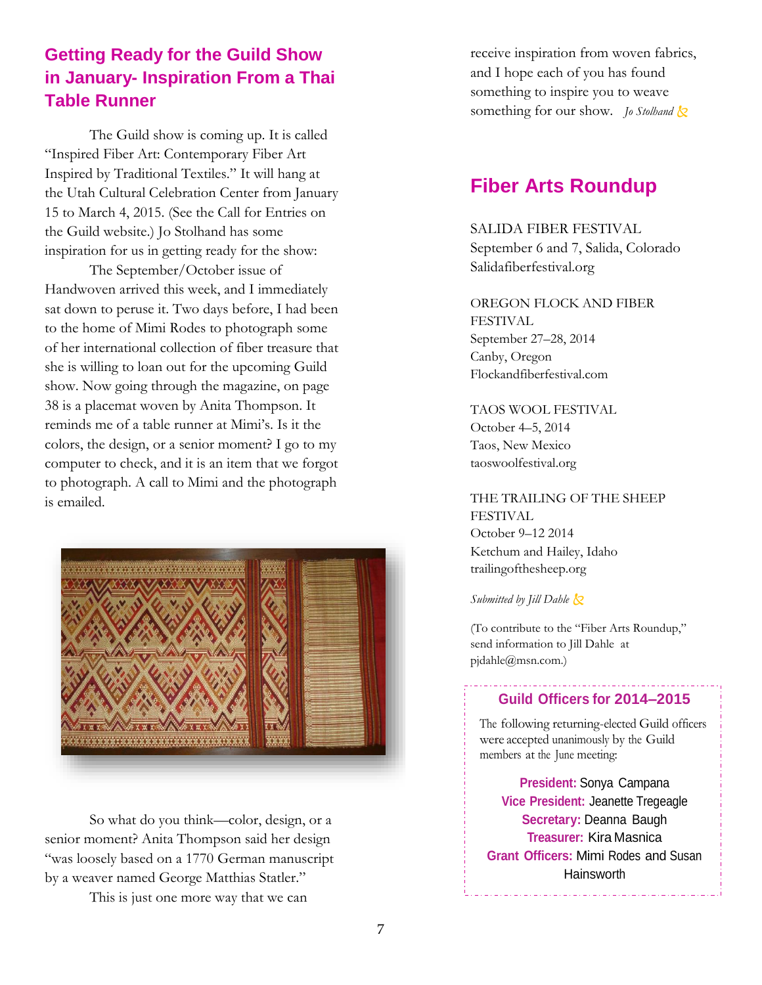## **Getting Ready for the Guild Show in January- Inspiration From a Thai Table Runner**

The Guild show is coming up. It is called "Inspired Fiber Art: Contemporary Fiber Art Inspired by Traditional Textiles." It will hang at the Utah Cultural Celebration Center from January 15 to March 4, 2015. (See the Call for Entries on the Guild website.) Jo Stolhand has some inspiration for us in getting ready for the show:

The September/October issue of Handwoven arrived this week, and I immediately sat down to peruse it. Two days before, I had been to the home of Mimi Rodes to photograph some of her international collection of fiber treasure that she is willing to loan out for the upcoming Guild show. Now going through the magazine, on page 38 is a placemat woven by Anita Thompson. It reminds me of a table runner at Mimi's. Is it the colors, the design, or a senior moment? I go to my computer to check, and it is an item that we forgot to photograph. A call to Mimi and the photograph is emailed.



So what do you think—color, design, or a senior moment? Anita Thompson said her design "was loosely based on a 1770 German manuscript by a weaver named George Matthias Statler."

This is just one more way that we can

receive inspiration from woven fabrics, and I hope each of you has found something to inspire you to weave something for our show. *Jo Stolhand*  $\&$ 

## **Fiber Arts Roundup**

SALIDA FIBER FESTIVAL September 6 and 7, Salida, Colorado Salidafiberfestival.org

OREGON FLOCK AND FIBER FESTIVAL September 27–28, 2014 Canby, Oregon Flockandfiberfestival.com

TAOS WOOL FESTIVAL October 4–5, 2014 Taos, New Mexico taoswoolfestival.org

### THE TRAILING OF THE SHEEP FESTIVAL October 9–12 2014

Ketchum and Hailey, Idaho trailingofthesheep.org

*Submitted by Jill Dahle*

(To contribute to the "Fiber Arts Roundup," send information to Jill Dahle at pjdahle@msn.com.)

#### **Guild Officers for 2014–2015**

The following returning-elected Guild officers were accepted unanimously by the Guild members at the June meeting:

**President:** Sonya Campana **Vice President:** Jeanette Tregeagle **Secretary:** Deanna Baugh **Treasurer:** Kira Masnica **Grant Officers:** Mimi Rodes and Susan **Hainsworth**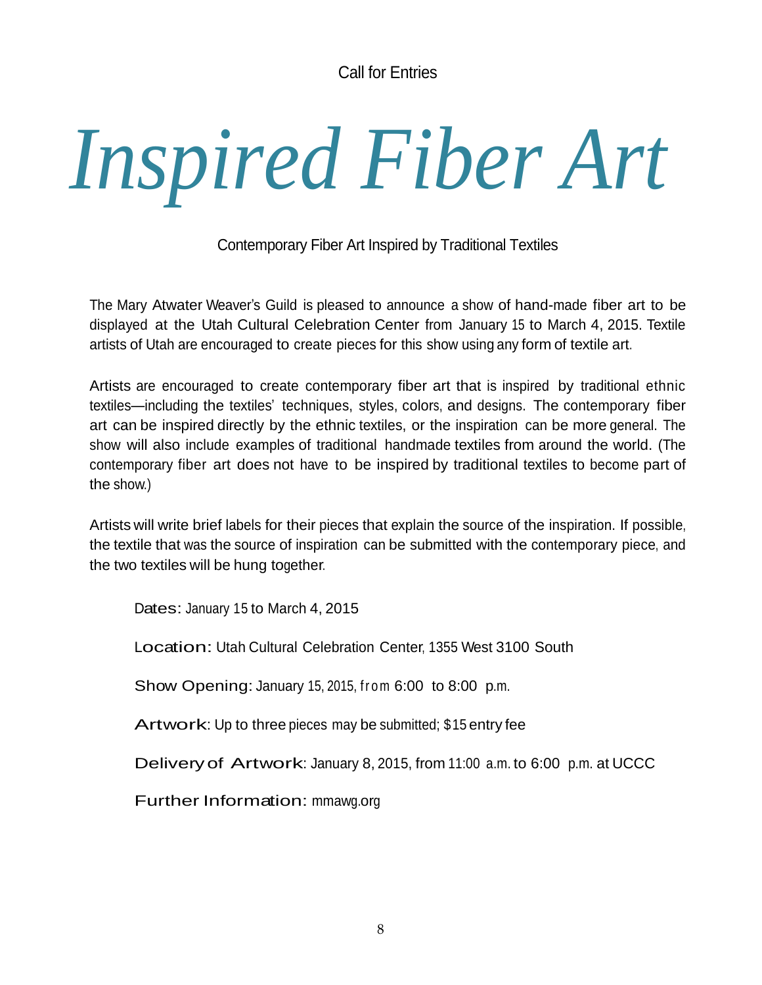Call for Entries

## *Inspired Fiber Art*

Contemporary Fiber Art Inspired by Traditional Textiles

The Mary Atwater Weaver's Guild is pleased to announce a show of hand-made fiber art to be displayed at the Utah Cultural Celebration Center from January 15 to March 4, 2015. Textile artists of Utah are encouraged to create pieces for this show using any form of textile art.

Artists are encouraged to create contemporary fiber art that is inspired by traditional ethnic textiles—including the textiles' techniques, styles, colors, and designs. The contemporary fiber art can be inspired directly by the ethnic textiles, or the inspiration can be more general. The show will also include examples of traditional handmade textiles from around the world. (The contemporary fiber art does not have to be inspired by traditional textiles to become part of the show.)

Artists will write brief labels for their pieces that explain the source of the inspiration. If possible, the textile that was the source of inspiration can be submitted with the contemporary piece, and the two textiles will be hung together.

Dates: January 15 to March 4, 2015

Location: Utah Cultural Celebration Center, <sup>1355</sup> West 3100 South

Show Opening: January 15, 2015, from 6:00 to 8:00 p.m.

Artwork: Up to three pieces may be submitted; \$15 entry fee

Deliveryof Artwork: January 8, 2015, from 11:00 a.m. to 6:00 p.m. at UCCC

Further Information: mmawg.org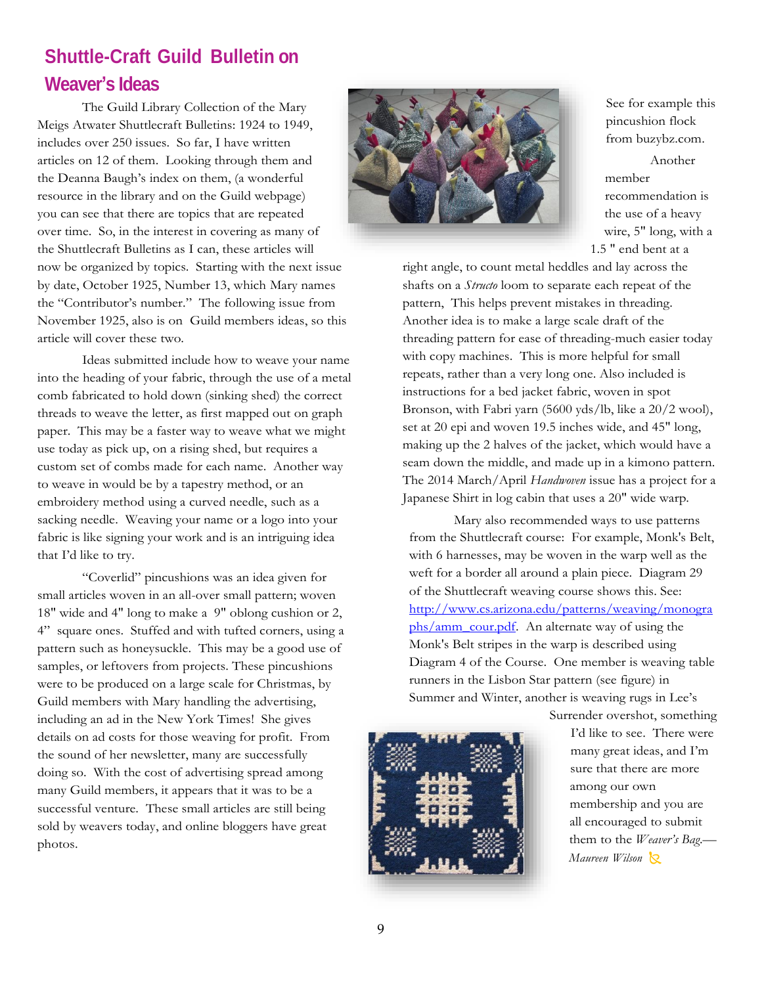## **Shuttle-Craft Guild Bulletin on Weaver's Ideas**

The Guild Library Collection of the Mary Meigs Atwater Shuttlecraft Bulletins: 1924 to 1949, includes over 250 issues. So far, I have written articles on 12 of them. Looking through them and the Deanna Baugh's index on them, (a wonderful resource in the library and on the Guild webpage) you can see that there are topics that are repeated over time. So, in the interest in covering as many of the Shuttlecraft Bulletins as I can, these articles will now be organized by topics. Starting with the next issue by date, October 1925, Number 13, which Mary names the "Contributor's number." The following issue from November 1925, also is on Guild members ideas, so this article will cover these two.

Ideas submitted include how to weave your name into the heading of your fabric, through the use of a metal comb fabricated to hold down (sinking shed) the correct threads to weave the letter, as first mapped out on graph paper. This may be a faster way to weave what we might use today as pick up, on a rising shed, but requires a custom set of combs made for each name. Another way to weave in would be by a tapestry method, or an embroidery method using a curved needle, such as a sacking needle. Weaving your name or a logo into your fabric is like signing your work and is an intriguing idea that I'd like to try.

"Coverlid" pincushions was an idea given for small articles woven in an all-over small pattern; woven 18" wide and 4" long to make a 9" oblong cushion or 2, 4" square ones. Stuffed and with tufted corners, using a pattern such as honeysuckle. This may be a good use of samples, or leftovers from projects. These pincushions were to be produced on a large scale for Christmas, by Guild members with Mary handling the advertising, including an ad in the New York Times! She gives details on ad costs for those weaving for profit. From the sound of her newsletter, many are successfully doing so. With the cost of advertising spread among many Guild members, it appears that it was to be a successful venture. These small articles are still being sold by weavers today, and online bloggers have great photos.



See for example this pincushion flock from buzybz.com.

Another member recommendation is the use of a heavy wire, 5" long, with a 1.5 " end bent at a

right angle, to count metal heddles and lay across the shafts on a *Structo* loom to separate each repeat of the pattern, This helps prevent mistakes in threading. Another idea is to make a large scale draft of the threading pattern for ease of threading-much easier today with copy machines. This is more helpful for small repeats, rather than a very long one. Also included is instructions for a bed jacket fabric, woven in spot Bronson, with Fabri yarn (5600 yds/lb, like a 20/2 wool), set at 20 epi and woven 19.5 inches wide, and 45" long, making up the 2 halves of the jacket, which would have a seam down the middle, and made up in a kimono pattern. The 2014 March/April *Handwoven* issue has a project for a Japanese Shirt in log cabin that uses a 20" wide warp.

Mary also recommended ways to use patterns from the Shuttlecraft course: For example, Monk's Belt, with 6 harnesses, may be woven in the warp well as the weft for a border all around a plain piece. Diagram 29 of the Shuttlecraft weaving course shows this. See: [http://www.cs.arizona.edu/patterns/weaving/monogra](http://www.cs.arizona.edu/patterns/weaving/monographs/amm_cour.pdf) [phs/amm\\_cour.pdf.](http://www.cs.arizona.edu/patterns/weaving/monographs/amm_cour.pdf) An alternate way of using the Monk's Belt stripes in the warp is described using Diagram 4 of the Course. One member is weaving table runners in the Lisbon Star pattern (see figure) in Summer and Winter, another is weaving rugs in Lee's



Surrender overshot, something I'd like to see. There were many great ideas, and I'm sure that there are more among our own membership and you are all encouraged to submit them to the *Weaver's Bag*.— *Maureen Wilson*